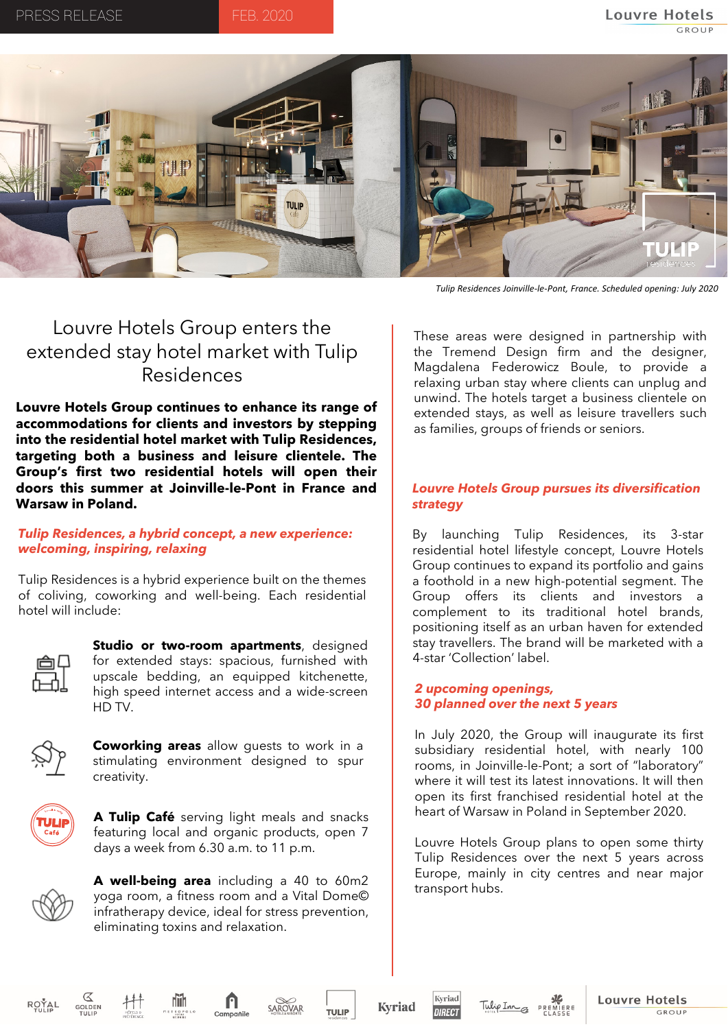

*Tulip Residences Joinville-le-Pont, France. Scheduled opening: July 2020*

# Louvre Hotels Group enters the extended stay hotel market with Tulip Residences

**Louvre Hotels Group continues to enhance its range of accommodations for clients and investors by stepping into the residential hotel market with Tulip Residences, targeting both a business and leisure clientele. The Group's first two residential hotels will open their doors this summer at Joinville-le-Pont in France and Warsaw in Poland.**

#### *Tulip Residences, a hybrid concept, a new experience: welcoming, inspiring, relaxing*

Tulip Residences is a hybrid experience built on the themes of coliving, coworking and well-being. Each residential hotel will include:



**Studio or two-room apartments**, designed for extended stays: spacious, furnished with upscale bedding, an equipped kitchenette, high speed internet access and a wide-screen HD TV.



**Coworking areas** allow guests to work in a stimulating environment designed to spur creativity.



**A Tulip Café** serving light meals and snacks featuring local and organic products, open 7 days a week from 6.30 a.m. to 11 p.m.



**A well-being area** including a 40 to 60m2 yoga room, a fitness room and a Vital Dome© infratherapy device, ideal for stress prevention, eliminating toxins and relaxation.

These areas were designed in partnership with the Tremend Design firm and the designer, Magdalena Federowicz Boule, to provide a relaxing urban stay where clients can unplug and unwind. The hotels target a business clientele on extended stays, as well as leisure travellers such as families, groups of friends or seniors.

## *Louvre Hotels Group pursues its diversification strategy*

By launching Tulip Residences, its 3-star residential hotel lifestyle concept, Louvre Hotels Group continues to expand its portfolio and gains a foothold in a new high-potential segment. The Group offers its clients and investors a complement to its traditional hotel brands, positioning itself as an urban haven for extended stay travellers. The brand will be marketed with a 4-star 'Collection' label.

## *2 upcoming openings, 30 planned over the next 5 years*

In July 2020, the Group will inaugurate its first subsidiary residential hotel, with nearly 100 rooms, in Joinville-le-Pont; a sort of "laboratory" where it will test its latest innovations. It will then open its first franchised residential hotel at the heart of Warsaw in Poland in September 2020.

Louvre Hotels Group plans to open some thirty Tulip Residences over the next 5 years across Europe, mainly in city centres and near major transport hubs.